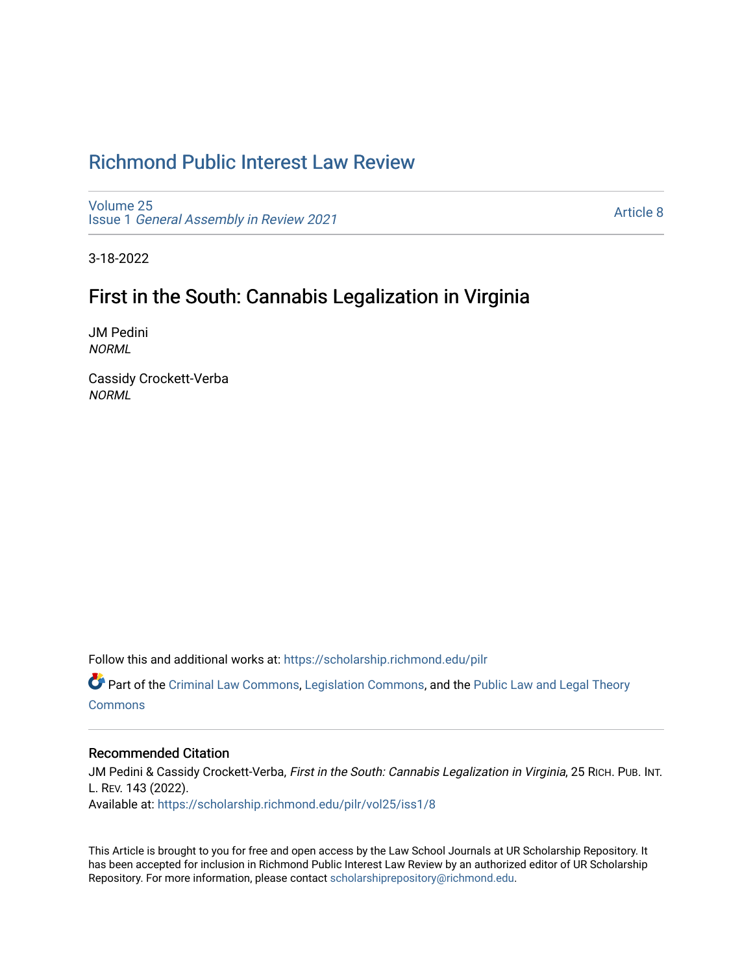# [Richmond Public Interest Law Review](https://scholarship.richmond.edu/pilr)

[Volume 25](https://scholarship.richmond.edu/pilr/vol25) Issue 1 [General Assembly in Review 2021](https://scholarship.richmond.edu/pilr/vol25/iss1)

[Article 8](https://scholarship.richmond.edu/pilr/vol25/iss1/8) 

3-18-2022

# First in the South: Cannabis Legalization in Virginia

JM Pedini NORML

Cassidy Crockett-Verba **NORML** 

Follow this and additional works at: [https://scholarship.richmond.edu/pilr](https://scholarship.richmond.edu/pilr?utm_source=scholarship.richmond.edu%2Fpilr%2Fvol25%2Fiss1%2F8&utm_medium=PDF&utm_campaign=PDFCoverPages) 

Part of the [Criminal Law Commons,](http://network.bepress.com/hgg/discipline/912?utm_source=scholarship.richmond.edu%2Fpilr%2Fvol25%2Fiss1%2F8&utm_medium=PDF&utm_campaign=PDFCoverPages) [Legislation Commons](http://network.bepress.com/hgg/discipline/859?utm_source=scholarship.richmond.edu%2Fpilr%2Fvol25%2Fiss1%2F8&utm_medium=PDF&utm_campaign=PDFCoverPages), and the [Public Law and Legal Theory](http://network.bepress.com/hgg/discipline/871?utm_source=scholarship.richmond.edu%2Fpilr%2Fvol25%2Fiss1%2F8&utm_medium=PDF&utm_campaign=PDFCoverPages) **[Commons](http://network.bepress.com/hgg/discipline/871?utm_source=scholarship.richmond.edu%2Fpilr%2Fvol25%2Fiss1%2F8&utm_medium=PDF&utm_campaign=PDFCoverPages)** 

# Recommended Citation

JM Pedini & Cassidy Crockett-Verba, First in the South: Cannabis Legalization in Virginia, 25 RICH. PUB. INT. L. REV. 143 (2022). Available at: [https://scholarship.richmond.edu/pilr/vol25/iss1/8](https://scholarship.richmond.edu/pilr/vol25/iss1/8?utm_source=scholarship.richmond.edu%2Fpilr%2Fvol25%2Fiss1%2F8&utm_medium=PDF&utm_campaign=PDFCoverPages)

This Article is brought to you for free and open access by the Law School Journals at UR Scholarship Repository. It has been accepted for inclusion in Richmond Public Interest Law Review by an authorized editor of UR Scholarship Repository. For more information, please contact [scholarshiprepository@richmond.edu](mailto:scholarshiprepository@richmond.edu).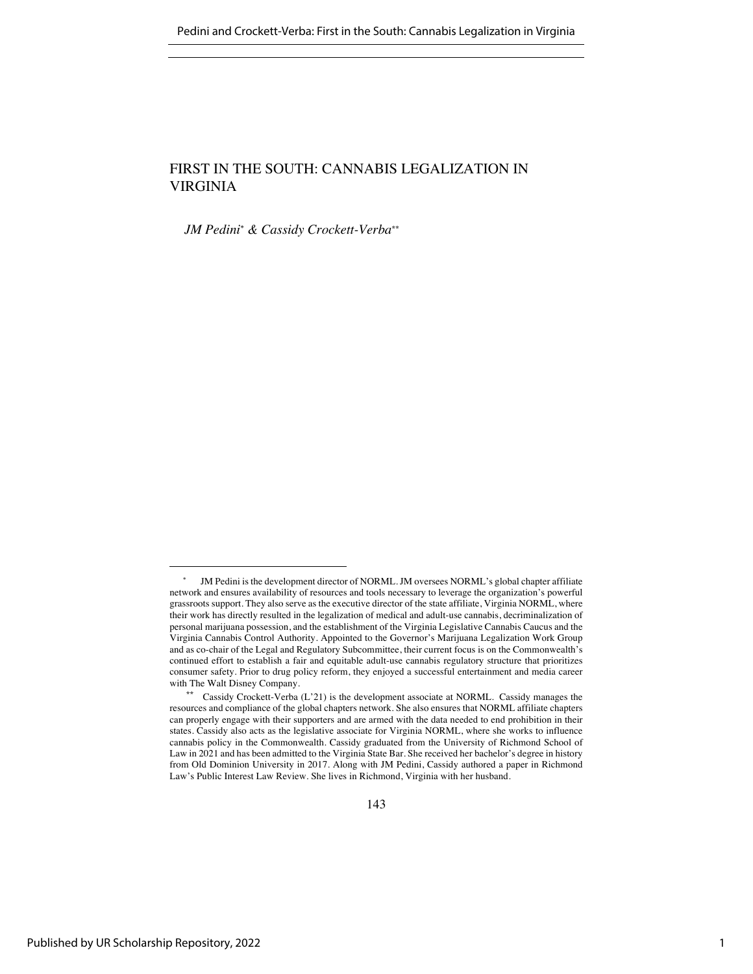# FIRST IN THE SOUTH: CANNABIS LEGALIZATION IN VIRGINIA

*JM Pedini* \* *& Cassidy Crockett-Verba\*\**

JM Pedini is the development director of NORML. JM oversees NORML's global chapter affiliate network and ensures availability of resources and tools necessary to leverage the organization's powerful grassroots support. They also serve as the executive director of the state affiliate, Virginia NORML, where their work has directly resulted in the legalization of medical and adult-use cannabis, decriminalization of personal marijuana possession, and the establishment of the Virginia Legislative Cannabis Caucus and the Virginia Cannabis Control Authority. Appointed to the Governor's Marijuana Legalization Work Group and as co-chair of the Legal and Regulatory Subcommittee, their current focus is on the Commonwealth's continued effort to establish a fair and equitable adult-use cannabis regulatory structure that prioritizes consumer safety. Prior to drug policy reform, they enjoyed a successful entertainment and media career with The Walt Disney Company.

Cassidy Crockett-Verba (L'21) is the development associate at NORML. Cassidy manages the resources and compliance of the global chapters network. She also ensures that NORML affiliate chapters can properly engage with their supporters and are armed with the data needed to end prohibition in their states. Cassidy also acts as the legislative associate for Virginia NORML, where she works to influence cannabis policy in the Commonwealth. Cassidy graduated from the University of Richmond School of Law in 2021 and has been admitted to the Virginia State Bar. She received her bachelor's degree in history from Old Dominion University in 2017. Along with JM Pedini, Cassidy authored a paper in Richmond Law's Public Interest Law Review. She lives in Richmond, Virginia with her husband.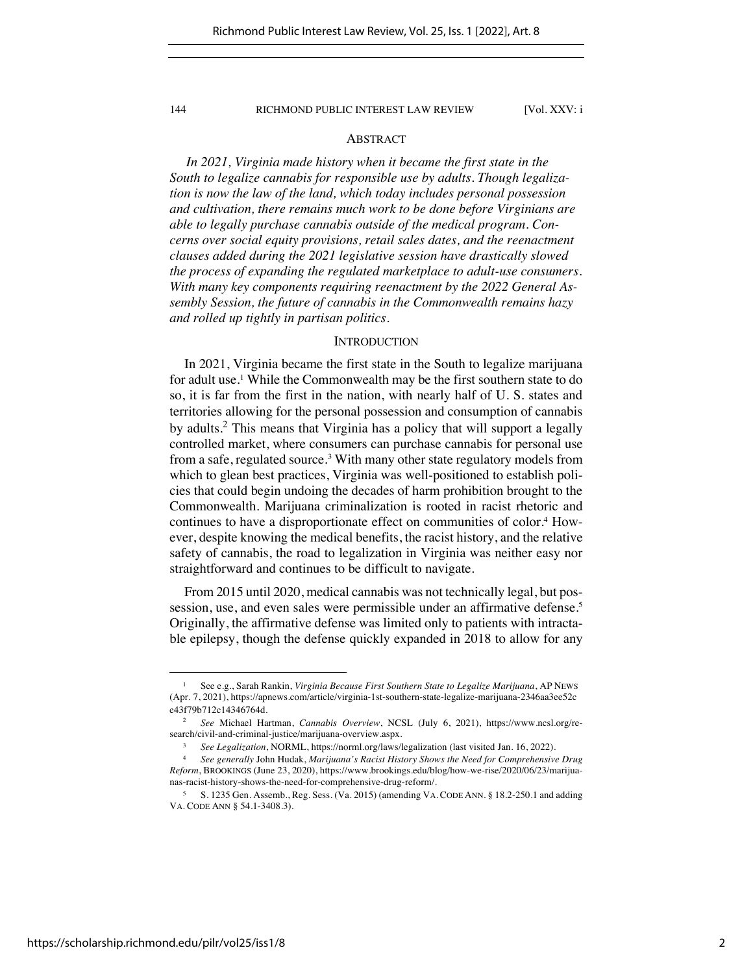# ABSTRACT

*In 2021, Virginia made history when it became the first state in the South to legalize cannabis for responsible use by adults. Though legalization is now the law of the land, which today includes personal possession and cultivation, there remains much work to be done before Virginians are able to legally purchase cannabis outside of the medical program. Concerns over social equity provisions, retail sales dates, and the reenactment clauses added during the 2021 legislative session have drastically slowed the process of expanding the regulated marketplace to adult-use consumers. With many key components requiring reenactment by the 2022 General Assembly Session, the future of cannabis in the Commonwealth remains hazy and rolled up tightly in partisan politics.*

### **INTRODUCTION**

In 2021, Virginia became the first state in the South to legalize marijuana for adult use.<sup>1</sup> While the Commonwealth may be the first southern state to do so, it is far from the first in the nation, with nearly half of U. S. states and territories allowing for the personal possession and consumption of cannabis by adults.<sup>2</sup> This means that Virginia has a policy that will support a legally controlled market, where consumers can purchase cannabis for personal use from a safe, regulated source.<sup>3</sup> With many other state regulatory models from which to glean best practices, Virginia was well-positioned to establish policies that could begin undoing the decades of harm prohibition brought to the Commonwealth. Marijuana criminalization is rooted in racist rhetoric and continues to have a disproportionate effect on communities of color.4 However, despite knowing the medical benefits, the racist history, and the relative safety of cannabis, the road to legalization in Virginia was neither easy nor straightforward and continues to be difficult to navigate.

From 2015 until 2020, medical cannabis was not technically legal, but possession, use, and even sales were permissible under an affirmative defense.<sup>5</sup> Originally, the affirmative defense was limited only to patients with intractable epilepsy, though the defense quickly expanded in 2018 to allow for any

<sup>1</sup> See e.g., Sarah Rankin, *Virginia Because First Southern State to Legalize Marijuana*, AP NEWS (Apr. 7, 2021), https://apnews.com/article/virginia-1st-southern-state-legalize-marijuana-2346aa3ee52c e43f79b712c14346764d.

<sup>2</sup> *See* Michael Hartman, *Cannabis Overview*, NCSL (July 6, 2021), https://www.ncsl.org/research/civil-and-criminal-justice/marijuana-overview.aspx.

<sup>3</sup> *See Legalization*, NORML, https://norml.org/laws/legalization (last visited Jan. 16, 2022).

<sup>4</sup> *See generally* John Hudak, *Marijuana's Racist History Shows the Need for Comprehensive Drug Reform*, BROOKINGS (June 23, 2020), https://www.brookings.edu/blog/how-we-rise/2020/06/23/marijuanas-racist-history-shows-the-need-for-comprehensive-drug-reform/.

<sup>5</sup> S. 1235 Gen. Assemb., Reg. Sess. (Va. 2015) (amending VA. CODE ANN. § 18.2-250.1 and adding VA. CODE ANN § 54.1-3408.3).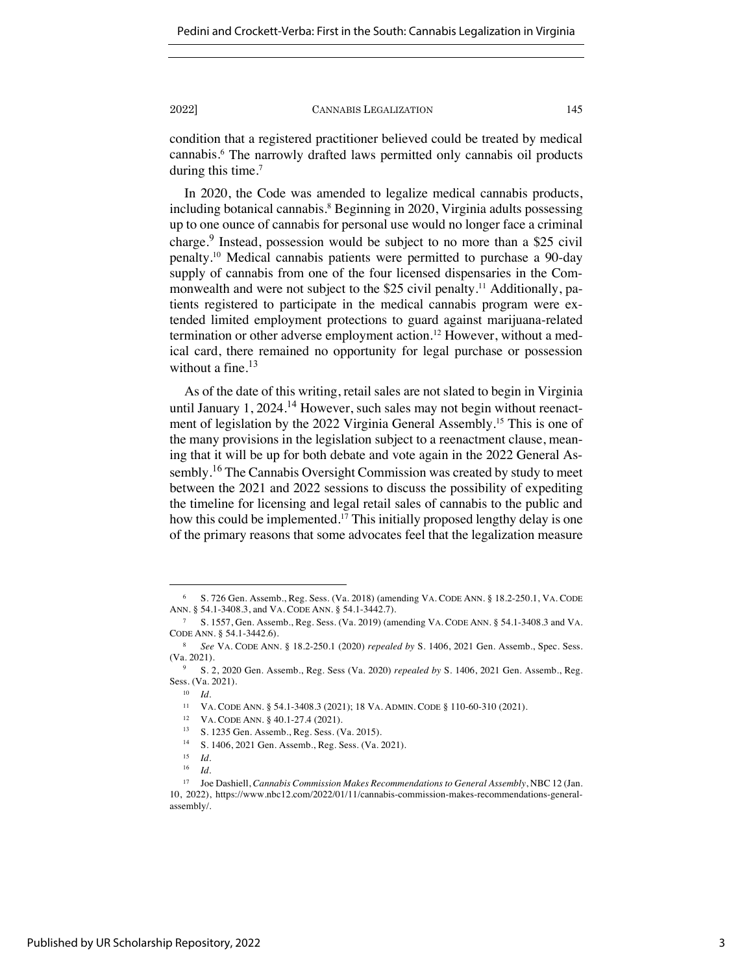condition that a registered practitioner believed could be treated by medical cannabis.6 The narrowly drafted laws permitted only cannabis oil products during this time.<sup>7</sup>

In 2020, the Code was amended to legalize medical cannabis products, including botanical cannabis.<sup>8</sup> Beginning in 2020, Virginia adults possessing up to one ounce of cannabis for personal use would no longer face a criminal charge.<sup>9</sup> Instead, possession would be subject to no more than a \$25 civil penalty.10 Medical cannabis patients were permitted to purchase a 90-day supply of cannabis from one of the four licensed dispensaries in the Commonwealth and were not subject to the \$25 civil penalty.<sup>11</sup> Additionally, patients registered to participate in the medical cannabis program were extended limited employment protections to guard against marijuana-related termination or other adverse employment action.<sup>12</sup> However, without a medical card, there remained no opportunity for legal purchase or possession without a fine. $13$ 

As of the date of this writing, retail sales are not slated to begin in Virginia until January 1, 2024.<sup>14</sup> However, such sales may not begin without reenactment of legislation by the 2022 Virginia General Assembly.15 This is one of the many provisions in the legislation subject to a reenactment clause, meaning that it will be up for both debate and vote again in the 2022 General Assembly.<sup>16</sup> The Cannabis Oversight Commission was created by study to meet between the 2021 and 2022 sessions to discuss the possibility of expediting the timeline for licensing and legal retail sales of cannabis to the public and how this could be implemented.<sup>17</sup> This initially proposed lengthy delay is one of the primary reasons that some advocates feel that the legalization measure

<sup>6</sup> S. 726 Gen. Assemb., Reg. Sess. (Va. 2018) (amending VA. CODE ANN. § 18.2-250.1, VA. CODE ANN. § 54.1-3408.3, and VA. CODE ANN. § 54.1-3442.7).

<sup>7</sup> S. 1557, Gen. Assemb., Reg. Sess. (Va. 2019) (amending VA. CODE ANN. § 54.1-3408.3 and VA. CODE ANN. § 54.1-3442.6).

<sup>8</sup> *See* VA. CODE ANN. § 18.2-250.1 (2020) *repealed by* S. 1406, 2021 Gen. Assemb., Spec. Sess. (Va. 2021).

<sup>9</sup> S. 2, 2020 Gen. Assemb., Reg. Sess (Va. 2020) *repealed by* S. 1406, 2021 Gen. Assemb., Reg. Sess. (Va. 2021).

<sup>10</sup> *Id.*

<sup>11</sup> VA. CODE ANN. § 54.1-3408.3 (2021); 18 VA. ADMIN. CODE § 110-60-310 (2021).

<sup>&</sup>lt;sup>12</sup> VA. CODE ANN. § 40.1-27.4 (2021).

<sup>&</sup>lt;sup>13</sup> S. 1235 Gen. Assemb., Reg. Sess. (Va. 2015).

S. 1406, 2021 Gen. Assemb., Reg. Sess. (Va. 2021).

 $\frac{15}{16}$  *Id.* 

<sup>16</sup> *Id.*

<sup>17</sup> Joe Dashiell, *Cannabis Commission Makes Recommendations to General Assembly*, NBC 12 (Jan. 10, 2022), https://www.nbc12.com/2022/01/11/cannabis-commission-makes-recommendations-generalassembly/.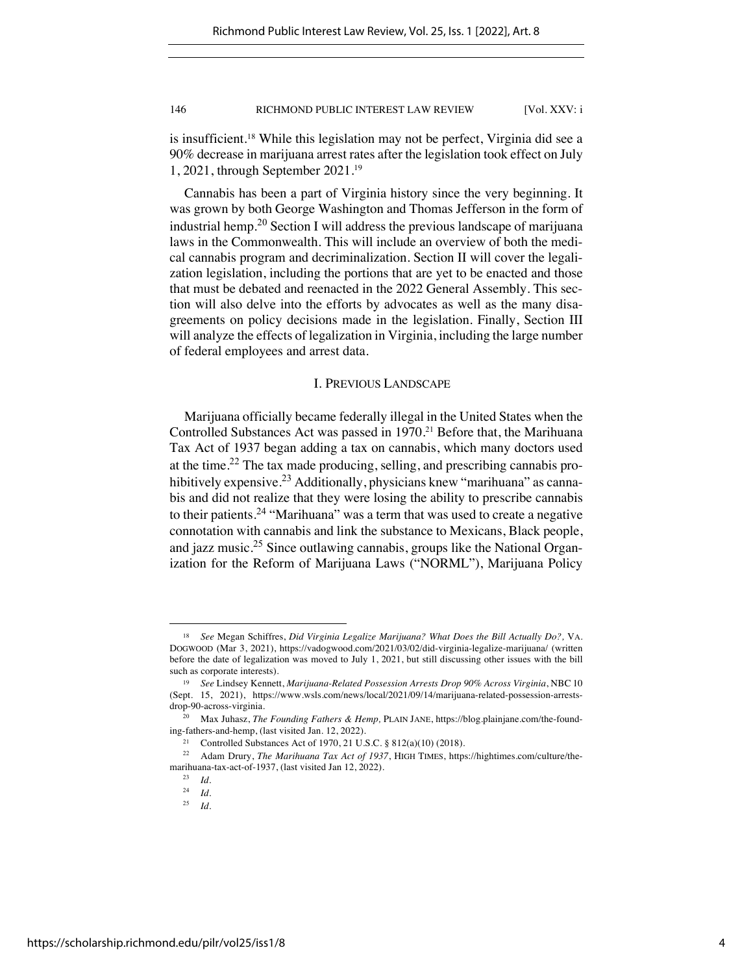is insufficient.18 While this legislation may not be perfect, Virginia did see a 90% decrease in marijuana arrest rates after the legislation took effect on July 1, 2021, through September 2021.19

Cannabis has been a part of Virginia history since the very beginning. It was grown by both George Washington and Thomas Jefferson in the form of industrial hemp.<sup>20</sup> Section I will address the previous landscape of marijuana laws in the Commonwealth. This will include an overview of both the medical cannabis program and decriminalization. Section II will cover the legalization legislation, including the portions that are yet to be enacted and those that must be debated and reenacted in the 2022 General Assembly. This section will also delve into the efforts by advocates as well as the many disagreements on policy decisions made in the legislation. Finally, Section III will analyze the effects of legalization in Virginia, including the large number of federal employees and arrest data.

# I. PREVIOUS LANDSCAPE

Marijuana officially became federally illegal in the United States when the Controlled Substances Act was passed in 1970.<sup>21</sup> Before that, the Marihuana Tax Act of 1937 began adding a tax on cannabis, which many doctors used at the time.<sup>22</sup> The tax made producing, selling, and prescribing cannabis prohibitively expensive.<sup>23</sup> Additionally, physicians knew "marihuana" as cannabis and did not realize that they were losing the ability to prescribe cannabis to their patients.<sup>24</sup> "Marihuana" was a term that was used to create a negative connotation with cannabis and link the substance to Mexicans, Black people, and jazz music.<sup>25</sup> Since outlawing cannabis, groups like the National Organization for the Reform of Marijuana Laws ("NORML"), Marijuana Policy

<sup>18</sup> *See* Megan Schiffres, *Did Virginia Legalize Marijuana? What Does the Bill Actually Do?,* VA. DOGWOOD (Mar 3, 2021), https://vadogwood.com/2021/03/02/did-virginia-legalize-marijuana/ (written before the date of legalization was moved to July 1, 2021, but still discussing other issues with the bill such as corporate interests).

<sup>19</sup> *See* Lindsey Kennett, *Marijuana-Related Possession Arrests Drop 90% Across Virginia*, NBC 10 (Sept. 15, 2021), https://www.wsls.com/news/local/2021/09/14/marijuana-related-possession-arrestsdrop-90-across-virginia.

<sup>20</sup> Max Juhasz, *The Founding Fathers & Hemp,* PLAIN JANE, https://blog.plainjane.com/the-founding-fathers-and-hemp, (last visited Jan. 12, 2022).

<sup>21</sup> Controlled Substances Act of 1970, 21 U.S.C. § 812(a)(10) (2018).

<sup>22</sup> Adam Drury, *The Marihuana Tax Act of 1937*, HIGH TIMES, https://hightimes.com/culture/themarihuana-tax-act-of-1937, (last visited Jan 12, 2022).

<sup>23</sup> *Id.*

 $\frac{24}{25}$  *Id.* 

*Id.*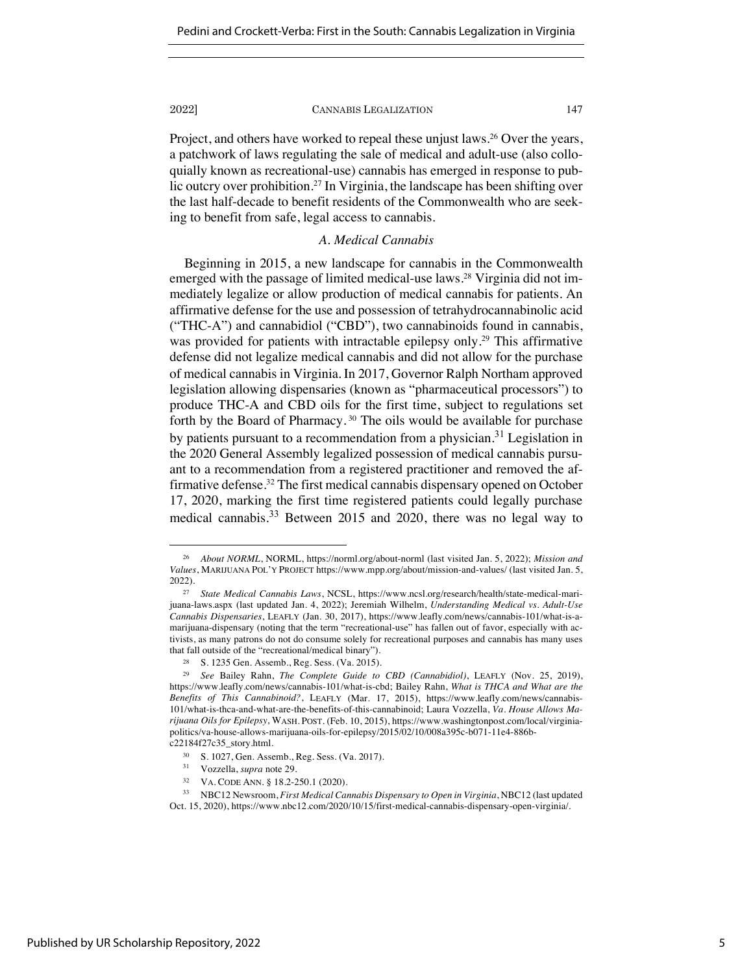Project, and others have worked to repeal these unjust laws.<sup>26</sup> Over the years, a patchwork of laws regulating the sale of medical and adult-use (also colloquially known as recreational-use) cannabis has emerged in response to public outcry over prohibition.<sup>27</sup> In Virginia, the landscape has been shifting over the last half-decade to benefit residents of the Commonwealth who are seeking to benefit from safe, legal access to cannabis.

# *A. Medical Cannabis*

Beginning in 2015, a new landscape for cannabis in the Commonwealth emerged with the passage of limited medical-use laws. <sup>28</sup> Virginia did not immediately legalize or allow production of medical cannabis for patients. An affirmative defense for the use and possession of tetrahydrocannabinolic acid ("THC-A") and cannabidiol ("CBD"), two cannabinoids found in cannabis, was provided for patients with intractable epilepsy only.<sup>29</sup> This affirmative defense did not legalize medical cannabis and did not allow for the purchase of medical cannabis in Virginia.In 2017, Governor Ralph Northam approved legislation allowing dispensaries (known as "pharmaceutical processors") to produce THC-A and CBD oils for the first time, subject to regulations set forth by the Board of Pharmacy. <sup>30</sup> The oils would be available for purchase by patients pursuant to a recommendation from a physician.<sup>31</sup> Legislation in the 2020 General Assembly legalized possession of medical cannabis pursuant to a recommendation from a registered practitioner and removed the affirmative defense.32 The first medical cannabis dispensary opened on October 17, 2020, marking the first time registered patients could legally purchase medical cannabis.<sup>33</sup> Between 2015 and 2020, there was no legal way to

<sup>31</sup> Vozzella, *supra* note 29.

<sup>26</sup> *About NORML*, NORML, https://norml.org/about-norml (last visited Jan. 5, 2022); *Mission and Values*, MARIJUANA POL'Y PROJECT https://www.mpp.org/about/mission-and-values/ (last visited Jan. 5, 2022).

<sup>27</sup> *State Medical Cannabis Laws*, NCSL, https://www.ncsl.org/research/health/state-medical-marijuana-laws.aspx (last updated Jan. 4, 2022); Jeremiah Wilhelm, *Understanding Medical vs. Adult-Use Cannabis Dispensaries*, LEAFLY (Jan. 30, 2017), https://www.leafly.com/news/cannabis-101/what-is-amarijuana-dispensary (noting that the term "recreational-use" has fallen out of favor, especially with activists, as many patrons do not do consume solely for recreational purposes and cannabis has many uses that fall outside of the "recreational/medical binary").

<sup>28</sup> S. 1235 Gen. Assemb., Reg. Sess. (Va. 2015).

<sup>29</sup> *See* Bailey Rahn, *The Complete Guide to CBD (Cannabidiol)*, LEAFLY (Nov. 25, 2019), https://www.leafly.com/news/cannabis-101/what-is-cbd; Bailey Rahn, *What is THCA and What are the Benefits of This Cannabinoid?*, LEAFLY (Mar. 17, 2015), https://www.leafly.com/news/cannabis-101/what-is-thca-and-what-are-the-benefits-of-this-cannabinoid; Laura Vozzella, *Va. House Allows Marijuana Oils for Epilepsy*, WASH. POST. (Feb. 10, 2015), https://www.washingtonpost.com/local/virginiapolitics/va-house-allows-marijuana-oils-for-epilepsy/2015/02/10/008a395c-b071-11e4-886bc22184f27c35\_story.html.

 $30\quad$  S. 1027, Gen. Assemb., Reg. Sess. (Va. 2017).

<sup>32</sup> VA. CODE ANN. § 18.2-250.1 (2020).

<sup>33</sup> NBC12 Newsroom, *First Medical Cannabis Dispensary to Open in Virginia*, NBC12 (last updated Oct. 15, 2020), https://www.nbc12.com/2020/10/15/first-medical-cannabis-dispensary-open-virginia/.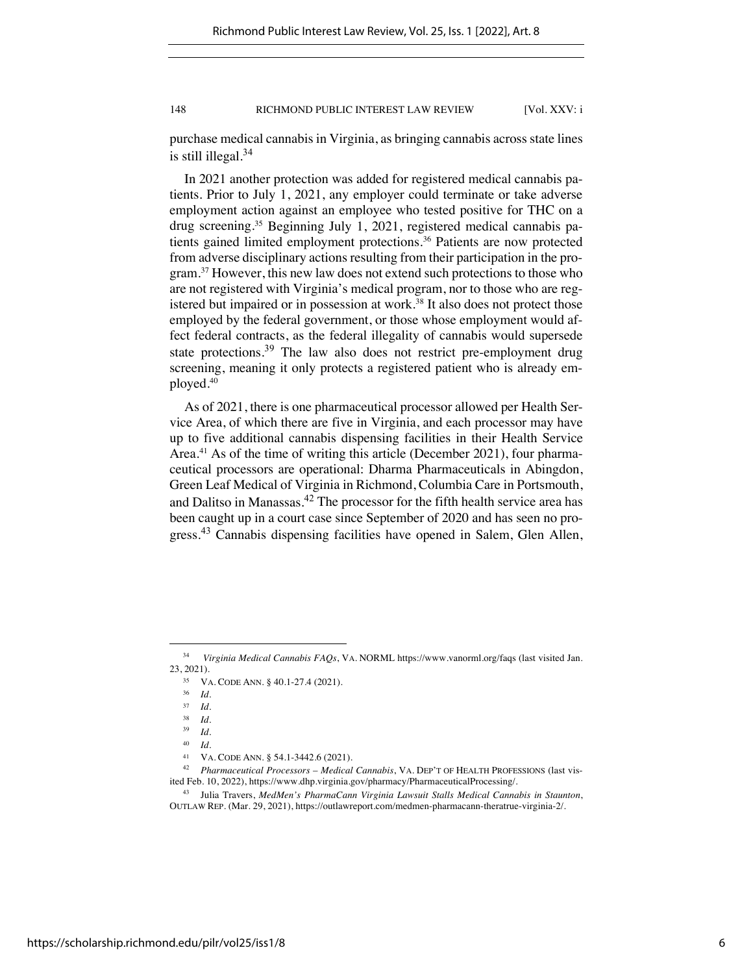purchase medical cannabis in Virginia, as bringing cannabis across state lines is still illegal. $34$ 

In 2021 another protection was added for registered medical cannabis patients. Prior to July 1, 2021, any employer could terminate or take adverse employment action against an employee who tested positive for THC on a drug screening.35 Beginning July 1, 2021, registered medical cannabis patients gained limited employment protections.<sup>36</sup> Patients are now protected from adverse disciplinary actions resulting from their participation in the program.37 However, this new law does not extend such protections to those who are not registered with Virginia's medical program, nor to those who are registered but impaired or in possession at work.<sup>38</sup> It also does not protect those employed by the federal government, or those whose employment would affect federal contracts, as the federal illegality of cannabis would supersede state protections.<sup>39</sup> The law also does not restrict pre-employment drug screening, meaning it only protects a registered patient who is already employed.40

As of 2021, there is one pharmaceutical processor allowed per Health Service Area, of which there are five in Virginia, and each processor may have up to five additional cannabis dispensing facilities in their Health Service Area.<sup>41</sup> As of the time of writing this article (December 2021), four pharmaceutical processors are operational: Dharma Pharmaceuticals in Abingdon, Green Leaf Medical of Virginia in Richmond, Columbia Care in Portsmouth, and Dalitso in Manassas.<sup>42</sup> The processor for the fifth health service area has been caught up in a court case since September of 2020 and has seen no progress.<sup>43</sup> Cannabis dispensing facilities have opened in Salem, Glen Allen,

<sup>34</sup> *Virginia Medical Cannabis FAQs*, VA. NORML https://www.vanorml.org/faqs (last visited Jan. 23, 2021).

<sup>35</sup> VA. CODE ANN. § 40.1-27.4 (2021).

 $rac{36}{37}$  *Id.* 

<sup>37</sup> *Id.*

 $rac{38}{39}$  *Id.* 

 $\frac{39}{40}$  *Id.* 

*Id.* 

<sup>&</sup>lt;sup>41</sup> VA. CODE ANN.  $\S$  54.1-3442.6 (2021).<br><sup>42</sup> Pharmaceutical Processors – Medical

<sup>42</sup> *Pharmaceutical Processors – Medical Cannabis*, VA. DEP'T OF HEALTH PROFESSIONS (last visited Feb. 10, 2022), https://www.dhp.virginia.gov/pharmacy/PharmaceuticalProcessing/.

<sup>43</sup> Julia Travers, *MedMen's PharmaCann Virginia Lawsuit Stalls Medical Cannabis in Staunton*, OUTLAW REP. (Mar. 29, 2021), https://outlawreport.com/medmen-pharmacann-theratrue-virginia-2/.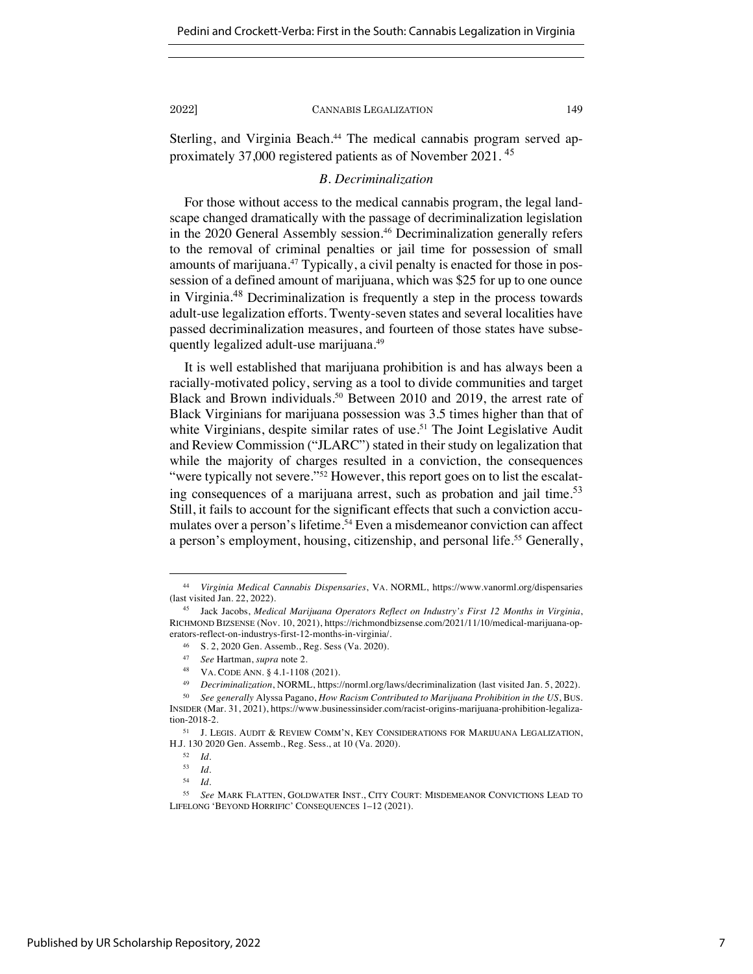Sterling, and Virginia Beach.<sup>44</sup> The medical cannabis program served approximately 37,000 registered patients as of November 2021.<sup>45</sup>

# *B. Decriminalization*

For those without access to the medical cannabis program, the legal landscape changed dramatically with the passage of decriminalization legislation in the 2020 General Assembly session.<sup>46</sup> Decriminalization generally refers to the removal of criminal penalties or jail time for possession of small amounts of marijuana.<sup>47</sup> Typically, a civil penalty is enacted for those in possession of a defined amount of marijuana, which was \$25 for up to one ounce in Virginia. <sup>48</sup> Decriminalization is frequently a step in the process towards adult-use legalization efforts. Twenty-seven states and several localities have passed decriminalization measures, and fourteen of those states have subsequently legalized adult-use marijuana.49

It is well established that marijuana prohibition is and has always been a racially-motivated policy, serving as a tool to divide communities and target Black and Brown individuals.<sup>50</sup> Between 2010 and 2019, the arrest rate of Black Virginians for marijuana possession was 3.5 times higher than that of white Virginians, despite similar rates of use.<sup>51</sup> The Joint Legislative Audit and Review Commission ("JLARC") stated in their study on legalization that while the majority of charges resulted in a conviction, the consequences "were typically not severe."<sup>52</sup> However, this report goes on to list the escalating consequences of a marijuana arrest, such as probation and jail time.<sup>53</sup> Still, it fails to account for the significant effects that such a conviction accumulates over a person's lifetime.<sup>54</sup> Even a misdemeanor conviction can affect a person's employment, housing, citizenship, and personal life.<sup>55</sup> Generally,

<sup>44</sup> *Virginia Medical Cannabis Dispensaries*, VA. NORML, https://www.vanorml.org/dispensaries (last visited Jan. 22, 2022).

<sup>45</sup> Jack Jacobs, *Medical Marijuana Operators Reflect on Industry's First 12 Months in Virginia*, RICHMOND BIZSENSE (Nov. 10, 2021), https://richmondbizsense.com/2021/11/10/medical-marijuana-operators-reflect-on-industrys-first-12-months-in-virginia/.

<sup>46</sup> S. 2, 2020 Gen. Assemb., Reg. Sess (Va. 2020).

<sup>47</sup> *See* Hartman, *supra* note 2.

<sup>48</sup> VA. CODE ANN. § 4.1-1108 (2021).

<sup>49</sup> *Decriminalization*, NORML, https://norml.org/laws/decriminalization (last visited Jan. 5, 2022).

<sup>50</sup> *See generally* Alyssa Pagano, *How Racism Contributed to Marijuana Prohibition in the US*, BUS. INSIDER (Mar. 31, 2021), https://www.businessinsider.com/racist-origins-marijuana-prohibition-legalization-2018-2.

<sup>51</sup> J. LEGIS. AUDIT & REVIEW COMM'N, KEY CONSIDERATIONS FOR MARIJUANA LEGALIZATION, H.J. 130 2020 Gen. Assemb., Reg. Sess., at 10 (Va. 2020).

 $\frac{52}{53}$  *Id.* 

<sup>53</sup> *Id.*

<sup>54</sup> *Id.*

<sup>55</sup> *See* MARK FLATTEN, GOLDWATER INST., CITY COURT: MISDEMEANOR CONVICTIONS LEAD TO LIFELONG 'BEYOND HORRIFIC' CONSEQUENCES 1–12 (2021).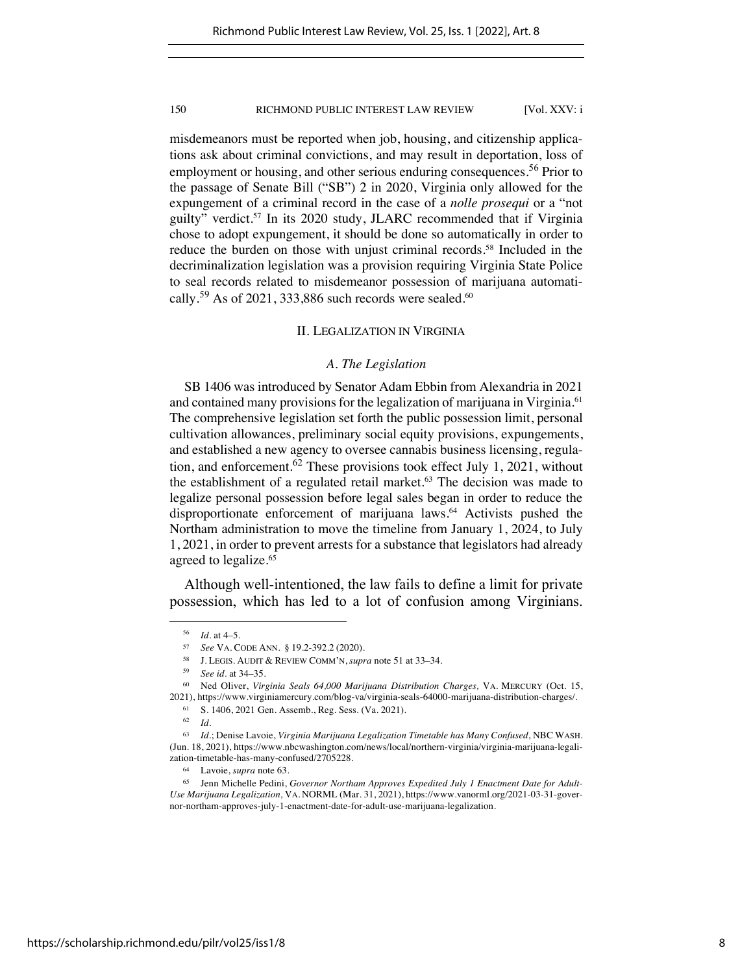misdemeanors must be reported when job, housing, and citizenship applications ask about criminal convictions, and may result in deportation, loss of employment or housing, and other serious enduring consequences.<sup>56</sup> Prior to the passage of Senate Bill ("SB") 2 in 2020, Virginia only allowed for the expungement of a criminal record in the case of a *nolle prosequi* or a "not guilty" verdict.57 In its 2020 study, JLARC recommended that if Virginia chose to adopt expungement, it should be done so automatically in order to reduce the burden on those with unjust criminal records.<sup>58</sup> Included in the decriminalization legislation was a provision requiring Virginia State Police to seal records related to misdemeanor possession of marijuana automatically.<sup>59</sup> As of 2021, 333,886 such records were sealed.<sup>60</sup>

# II. LEGALIZATION IN VIRGINIA

# *A. The Legislation*

SB 1406 was introduced by Senator Adam Ebbin from Alexandria in 2021 and contained many provisions for the legalization of marijuana in Virginia.<sup>61</sup> The comprehensive legislation set forth the public possession limit, personal cultivation allowances, preliminary social equity provisions, expungements, and established a new agency to oversee cannabis business licensing, regulation, and enforcement.<sup>62</sup> These provisions took effect July 1, 2021, without the establishment of a regulated retail market.<sup>63</sup> The decision was made to legalize personal possession before legal sales began in order to reduce the disproportionate enforcement of marijuana laws.<sup>64</sup> Activists pushed the Northam administration to move the timeline from January 1, 2024, to July 1, 2021, in order to prevent arrests for a substance that legislators had already agreed to legalize.<sup>65</sup>

Although well-intentioned, the law fails to define a limit for private possession, which has led to a lot of confusion among Virginians.

<sup>61</sup> S. 1406, 2021 Gen. Assemb., Reg. Sess. (Va. 2021).

 $\frac{56}{57}$  *Id.* at 4–5.

<sup>57</sup> *See* VA. CODE ANN. § 19.2-392.2 (2020).

<sup>58</sup> J. LEGIS. AUDIT & REVIEW COMM'N, *supra* note 51 at 33–34.

<sup>59</sup> *See id.* at 34–35.

<sup>60</sup> Ned Oliver, *Virginia Seals 64,000 Marijuana Distribution Charges,* VA. MERCURY (Oct. 15, 2021), https://www.virginiamercury.com/blog-va/virginia-seals-64000-marijuana-distribution-charges/.

<sup>62</sup> *Id.*

<sup>63</sup> *Id.*; Denise Lavoie, *Virginia Marijuana Legalization Timetable has Many Confused*, NBC WASH. (Jun. 18, 2021), https://www.nbcwashington.com/news/local/northern-virginia/virginia-marijuana-legalization-timetable-has-many-confused/2705228.

<sup>64</sup> Lavoie, *supra* note 63.

<sup>65</sup> Jenn Michelle Pedini, *Governor Northam Approves Expedited July 1 Enactment Date for Adult-Use Marijuana Legalization,* VA. NORML (Mar. 31, 2021), https://www.vanorml.org/2021-03-31-governor-northam-approves-july-1-enactment-date-for-adult-use-marijuana-legalization.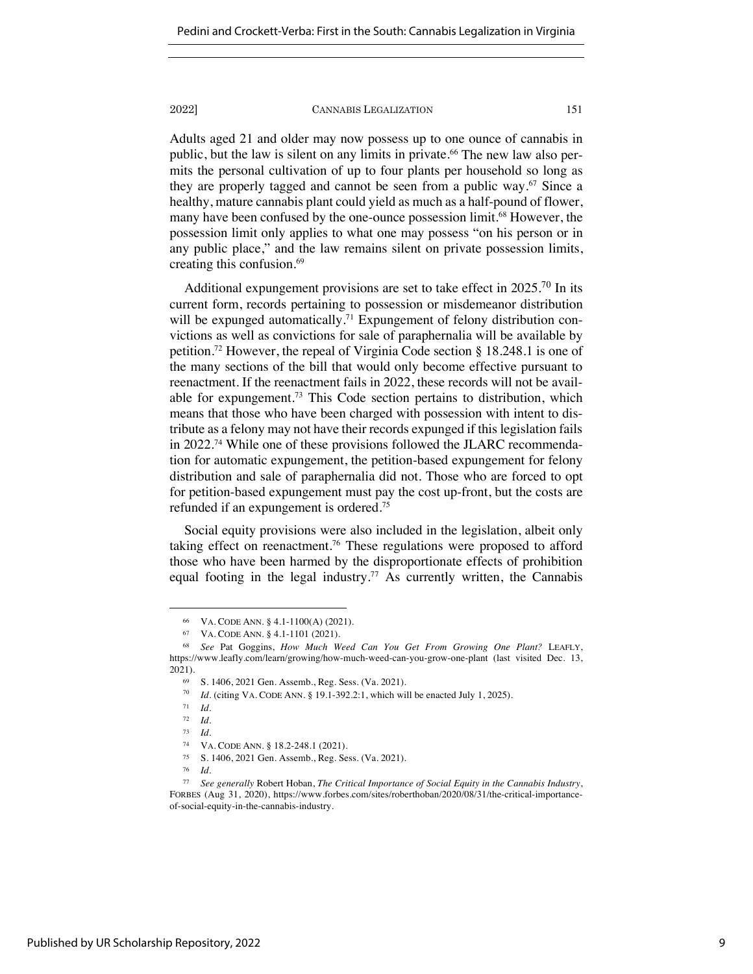Adults aged 21 and older may now possess up to one ounce of cannabis in public, but the law is silent on any limits in private. <sup>66</sup> The new law also permits the personal cultivation of up to four plants per household so long as they are properly tagged and cannot be seen from a public way.<sup>67</sup> Since a healthy, mature cannabis plant could yield as much as a half-pound of flower, many have been confused by the one-ounce possession limit.<sup>68</sup> However, the possession limit only applies to what one may possess "on his person or in any public place," and the law remains silent on private possession limits, creating this confusion. 69

Additional expungement provisions are set to take effect in  $2025$ .<sup>70</sup> In its current form, records pertaining to possession or misdemeanor distribution will be expunged automatically.<sup>71</sup> Expungement of felony distribution convictions as well as convictions for sale of paraphernalia will be available by petition.72 However, the repeal of Virginia Code section § 18.248.1 is one of the many sections of the bill that would only become effective pursuant to reenactment. If the reenactment fails in 2022, these records will not be available for expungement.73 This Code section pertains to distribution, which means that those who have been charged with possession with intent to distribute as a felony may not have their records expunged if this legislation fails in 2022.74 While one of these provisions followed the JLARC recommendation for automatic expungement, the petition-based expungement for felony distribution and sale of paraphernalia did not. Those who are forced to opt for petition-based expungement must pay the cost up-front, but the costs are refunded if an expungement is ordered.75

Social equity provisions were also included in the legislation, albeit only taking effect on reenactment.76 These regulations were proposed to afford those who have been harmed by the disproportionate effects of prohibition equal footing in the legal industry.<sup>77</sup> As currently written, the Cannabis

<sup>66</sup> VA. CODE ANN. § 4.1-1100(A) (2021).

<sup>67</sup> VA. CODE ANN. § 4.1-1101 (2021).

<sup>68</sup> *See* Pat Goggins, *How Much Weed Can You Get From Growing One Plant?* LEAFLY, https://www.leafly.com/learn/growing/how-much-weed-can-you-grow-one-plant (last visited Dec. 13, 2021).

<sup>69</sup> S. 1406, 2021 Gen. Assemb., Reg. Sess. (Va. 2021).

<sup>70</sup> *Id.* (citing VA. CODE ANN. § 19.1-392.2:1, which will be enacted July 1, 2025).

<sup>71</sup> *Id.*

<sup>72</sup> *Id.*

<sup>73</sup> *Id.*

<sup>74</sup> VA. CODE ANN. § 18.2-248.1 (2021).<br>75 S. 1406, 2021 Gen. Assemb. Reg. Se

 $^{75}$  S. 1406, 2021 Gen. Assemb., Reg. Sess. (Va. 2021).

<sup>76</sup> *Id.*

<sup>77</sup> *See generally* Robert Hoban, *The Critical Importance of Social Equity in the Cannabis Industry*, FORBES (Aug 31, 2020), https://www.forbes.com/sites/roberthoban/2020/08/31/the-critical-importanceof-social-equity-in-the-cannabis-industry.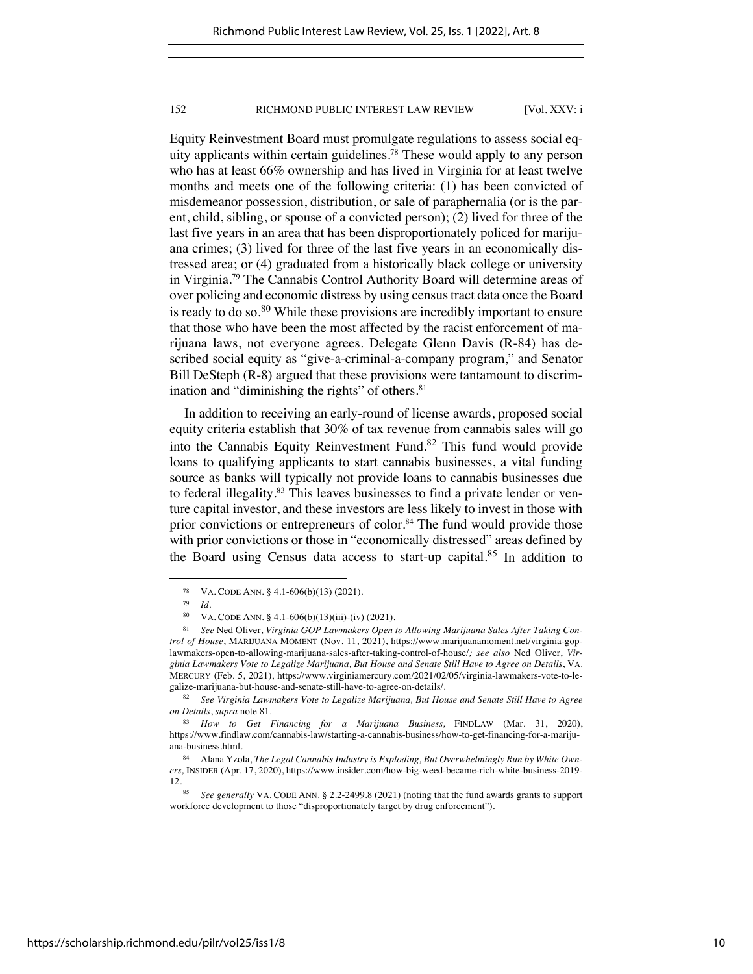Equity Reinvestment Board must promulgate regulations to assess social equity applicants within certain guidelines.78 These would apply to any person who has at least 66% ownership and has lived in Virginia for at least twelve months and meets one of the following criteria: (1) has been convicted of misdemeanor possession, distribution, or sale of paraphernalia (or is the parent, child, sibling, or spouse of a convicted person); (2) lived for three of the last five years in an area that has been disproportionately policed for marijuana crimes; (3) lived for three of the last five years in an economically distressed area; or (4) graduated from a historically black college or university in Virginia.79 The Cannabis Control Authority Board will determine areas of over policing and economic distress by using census tract data once the Board is ready to do so. $80$  While these provisions are incredibly important to ensure that those who have been the most affected by the racist enforcement of marijuana laws, not everyone agrees. Delegate Glenn Davis (R-84) has described social equity as "give-a-criminal-a-company program," and Senator Bill DeSteph (R-8) argued that these provisions were tantamount to discrimination and "diminishing the rights" of others.<sup>81</sup>

In addition to receiving an early-round of license awards, proposed social equity criteria establish that 30% of tax revenue from cannabis sales will go into the Cannabis Equity Reinvestment Fund.<sup>82</sup> This fund would provide loans to qualifying applicants to start cannabis businesses, a vital funding source as banks will typically not provide loans to cannabis businesses due to federal illegality.<sup>83</sup> This leaves businesses to find a private lender or venture capital investor, and these investors are less likely to invest in those with prior convictions or entrepreneurs of color.<sup>84</sup> The fund would provide those with prior convictions or those in "economically distressed" areas defined by the Board using Census data access to start-up capital.<sup>85</sup> In addition to

<sup>78</sup> VA. CODE ANN. § 4.1-606(b)(13) (2021).

<sup>79</sup> *Id.*

<sup>&</sup>lt;sup>80</sup> VA. CODE ANN. § 4.1-606(b)(13)(iii)-(iv) (2021).

<sup>81</sup> *See* Ned Oliver, *Virginia GOP Lawmakers Open to Allowing Marijuana Sales After Taking Control of House*, MARIJUANA MOMENT (Nov. 11, 2021), https://www.marijuanamoment.net/virginia-goplawmakers-open-to-allowing-marijuana-sales-after-taking-control-of-house/*; see also* Ned Oliver, *Virginia Lawmakers Vote to Legalize Marijuana, But House and Senate Still Have to Agree on Details*, VA. MERCURY (Feb. 5, 2021), https://www.virginiamercury.com/2021/02/05/virginia-lawmakers-vote-to-legalize-marijuana-but-house-and-senate-still-have-to-agree-on-details/.

<sup>82</sup> *See Virginia Lawmakers Vote to Legalize Marijuana, But House and Senate Still Have to Agree on Details*, *supra* note 81.

<sup>83</sup> *How to Get Financing for a Marijuana Business,* FINDLAW (Mar. 31, 2020), https://www.findlaw.com/cannabis-law/starting-a-cannabis-business/how-to-get-financing-for-a-marijuana-business.html.

<sup>84</sup> Alana Yzola, *The Legal Cannabis Industry is Exploding, But Overwhelmingly Run by White Owners,* INSIDER (Apr. 17, 2020), https://www.insider.com/how-big-weed-became-rich-white-business-2019-  $12.$ <sub>85</sub>

<sup>85</sup> *See generally* VA. CODE ANN. § 2.2-2499.8 (2021) (noting that the fund awards grants to support workforce development to those "disproportionately target by drug enforcement").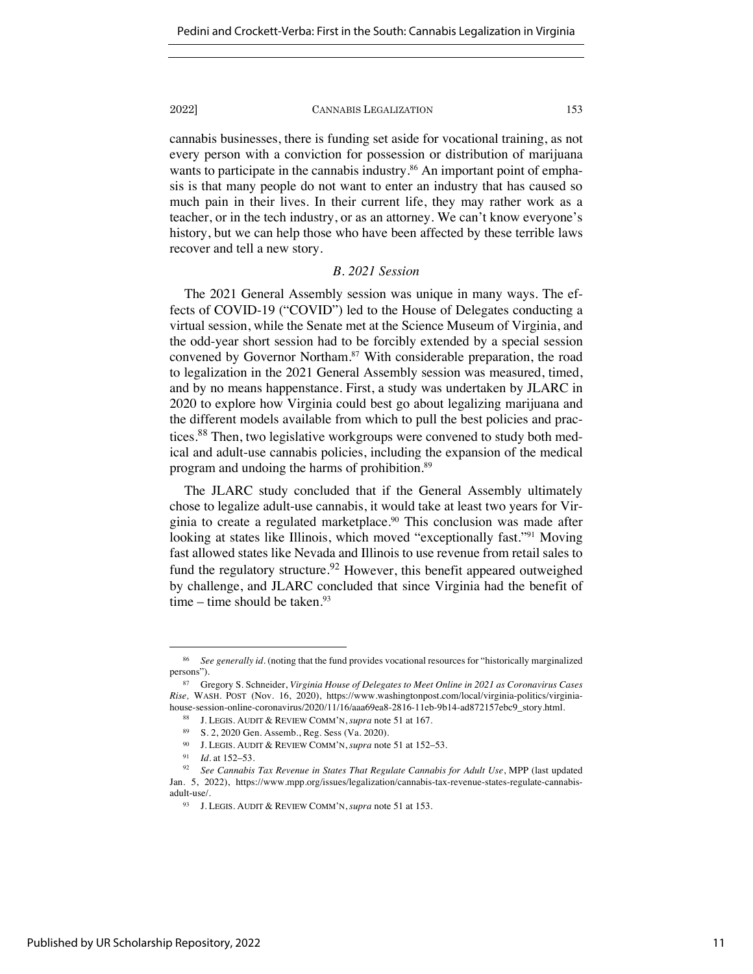cannabis businesses, there is funding set aside for vocational training, as not every person with a conviction for possession or distribution of marijuana wants to participate in the cannabis industry.<sup>86</sup> An important point of emphasis is that many people do not want to enter an industry that has caused so much pain in their lives. In their current life, they may rather work as a teacher, or in the tech industry, or as an attorney. We can't know everyone's history, but we can help those who have been affected by these terrible laws recover and tell a new story.

# *B. 2021 Session*

The 2021 General Assembly session was unique in many ways. The effects of COVID-19 ("COVID") led to the House of Delegates conducting a virtual session, while the Senate met at the Science Museum of Virginia, and the odd-year short session had to be forcibly extended by a special session convened by Governor Northam.<sup>87</sup> With considerable preparation, the road to legalization in the 2021 General Assembly session was measured, timed, and by no means happenstance. First, a study was undertaken by JLARC in 2020 to explore how Virginia could best go about legalizing marijuana and the different models available from which to pull the best policies and practices.<sup>88</sup> Then, two legislative workgroups were convened to study both medical and adult-use cannabis policies, including the expansion of the medical program and undoing the harms of prohibition.89

The JLARC study concluded that if the General Assembly ultimately chose to legalize adult-use cannabis, it would take at least two years for Virginia to create a regulated marketplace.<sup>90</sup> This conclusion was made after looking at states like Illinois, which moved "exceptionally fast."<sup>91</sup> Moving fast allowed states like Nevada and Illinois to use revenue from retail sales to fund the regulatory structure.<sup>92</sup> However, this benefit appeared outweighed by challenge, and JLARC concluded that since Virginia had the benefit of time – time should be taken. $93$ 

<sup>86</sup> *See generally id.* (noting that the fund provides vocational resources for "historically marginalized persons").

<sup>87</sup> Gregory S. Schneider, *Virginia House of Delegates to Meet Online in 2021 as Coronavirus Cases Rise,* WASH. POST (Nov. 16, 2020), https://www.washingtonpost.com/local/virginia-politics/virginiahouse-session-online-coronavirus/2020/11/16/aaa69ea8-2816-11eb-9b14-ad872157ebc9\_story.html.

<sup>88</sup> J. LEGIS. AUDIT & REVIEW COMM'N, *supra* note 51 at 167.

<sup>89</sup> S. 2, 2020 Gen. Assemb., Reg. Sess (Va. 2020).

<sup>90</sup> J. LEGIS. AUDIT & REVIEW COMM'N, *supra* note 51 at 152–53.

<sup>91</sup> *Id.* at 152–53.

<sup>92</sup> *See Cannabis Tax Revenue in States That Regulate Cannabis for Adult Use*, MPP (last updated Jan. 5, 2022), https://www.mpp.org/issues/legalization/cannabis-tax-revenue-states-regulate-cannabisadult-use/.

<sup>93</sup> J. LEGIS. AUDIT & REVIEW COMM'N, *supra* note 51 at 153.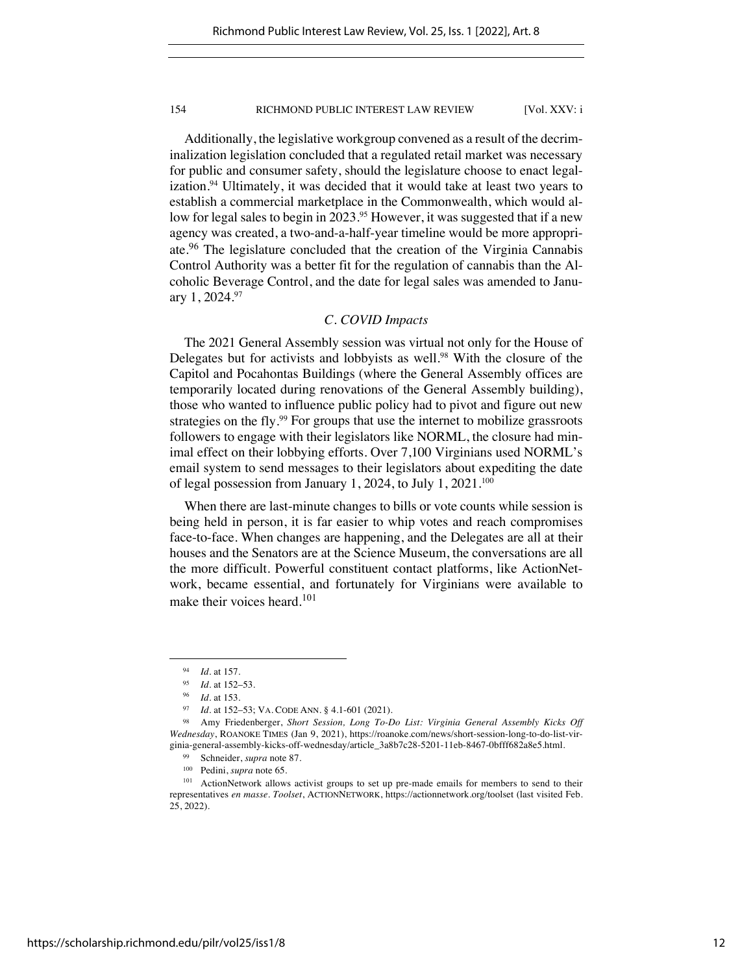Additionally, the legislative workgroup convened as a result of the decriminalization legislation concluded that a regulated retail market was necessary for public and consumer safety, should the legislature choose to enact legalization.94 Ultimately, it was decided that it would take at least two years to establish a commercial marketplace in the Commonwealth, which would allow for legal sales to begin in 2023.<sup>95</sup> However, it was suggested that if a new agency was created, a two-and-a-half-year timeline would be more appropriate.<sup>96</sup> The legislature concluded that the creation of the Virginia Cannabis Control Authority was a better fit for the regulation of cannabis than the Alcoholic Beverage Control, and the date for legal sales was amended to January 1, 2024.97

# *C. COVID Impacts*

The 2021 General Assembly session was virtual not only for the House of Delegates but for activists and lobbyists as well.<sup>98</sup> With the closure of the Capitol and Pocahontas Buildings (where the General Assembly offices are temporarily located during renovations of the General Assembly building), those who wanted to influence public policy had to pivot and figure out new strategies on the fly.<sup>99</sup> For groups that use the internet to mobilize grassroots followers to engage with their legislators like NORML, the closure had minimal effect on their lobbying efforts. Over 7,100 Virginians used NORML's email system to send messages to their legislators about expediting the date of legal possession from January 1, 2024, to July 1, 2021.<sup>100</sup>

When there are last-minute changes to bills or vote counts while session is being held in person, it is far easier to whip votes and reach compromises face-to-face. When changes are happening, and the Delegates are all at their houses and the Senators are at the Science Museum, the conversations are all the more difficult. Powerful constituent contact platforms, like ActionNetwork, became essential, and fortunately for Virginians were available to make their voices heard.<sup>101</sup>

<sup>94</sup> *Id.* at 157.

 $\frac{95}{96}$  *Id.* at 152–53.

*Id.* at 153.

<sup>97</sup> *Id.* at 152–53; VA. CODE ANN. § 4.1-601 (2021).

Amy Friedenberger, *Short Session, Long To-Do List: Virginia General Assembly Kicks Off Wednesday*, ROANOKE TIMES (Jan 9, 2021), https://roanoke.com/news/short-session-long-to-do-list-virginia-general-assembly-kicks-off-wednesday/article\_3a8b7c28-5201-11eb-8467-0bfff682a8e5.html.

<sup>99</sup> Schneider, *supra* note 87.

<sup>100</sup> Pedini, *supra* note 65.

<sup>&</sup>lt;sup>101</sup> ActionNetwork allows activist groups to set up pre-made emails for members to send to their representatives *en masse. Toolset*, ACTIONNETWORK, https://actionnetwork.org/toolset (last visited Feb. 25, 2022).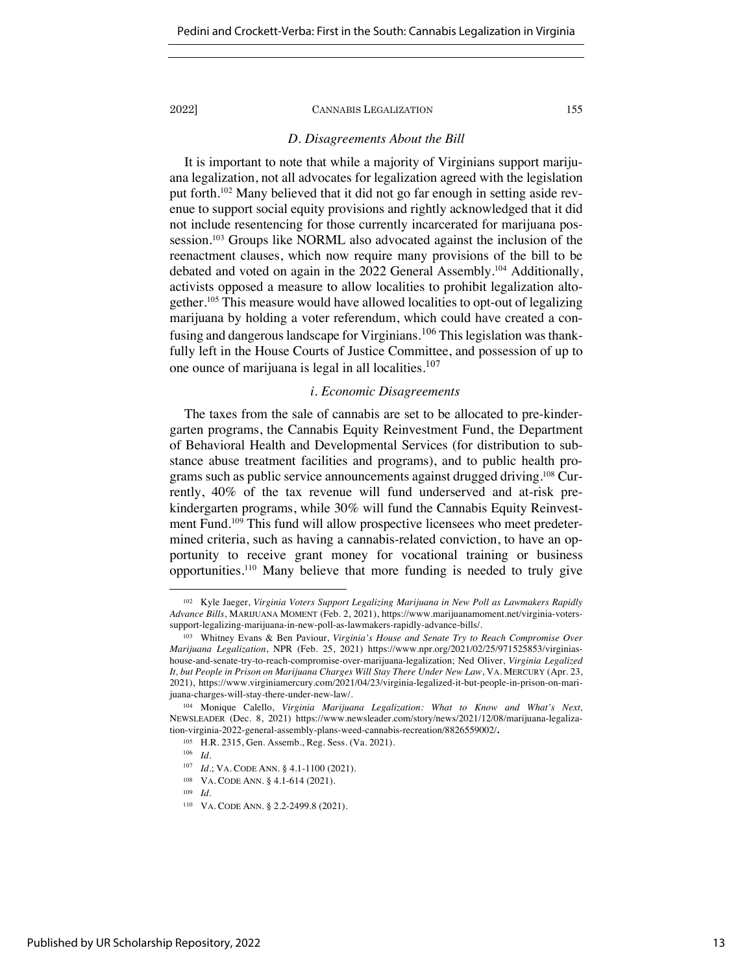# *D. Disagreements About the Bill*

It is important to note that while a majority of Virginians support marijuana legalization, not all advocates for legalization agreed with the legislation put forth.102 Many believed that it did not go far enough in setting aside revenue to support social equity provisions and rightly acknowledged that it did not include resentencing for those currently incarcerated for marijuana possession.<sup>103</sup> Groups like NORML also advocated against the inclusion of the reenactment clauses, which now require many provisions of the bill to be debated and voted on again in the 2022 General Assembly.104 Additionally, activists opposed a measure to allow localities to prohibit legalization altogether.105 This measure would have allowed localities to opt-out of legalizing marijuana by holding a voter referendum, which could have created a confusing and dangerous landscape for Virginians.<sup>106</sup> This legislation was thankfully left in the House Courts of Justice Committee, and possession of up to one ounce of marijuana is legal in all localities. $107$ 

# *i. Economic Disagreements*

The taxes from the sale of cannabis are set to be allocated to pre-kindergarten programs, the Cannabis Equity Reinvestment Fund, the Department of Behavioral Health and Developmental Services (for distribution to substance abuse treatment facilities and programs), and to public health programs such as public service announcements against drugged driving.108 Currently, 40% of the tax revenue will fund underserved and at-risk prekindergarten programs, while 30% will fund the Cannabis Equity Reinvestment Fund.<sup>109</sup> This fund will allow prospective licensees who meet predetermined criteria, such as having a cannabis-related conviction, to have an opportunity to receive grant money for vocational training or business opportunities.110 Many believe that more funding is needed to truly give

<sup>102</sup> Kyle Jaeger, *Virginia Voters Support Legalizing Marijuana in New Poll as Lawmakers Rapidly Advance Bills*, MARIJUANA MOMENT (Feb. 2, 2021), https://www.marijuanamoment.net/virginia-voterssupport-legalizing-marijuana-in-new-poll-as-lawmakers-rapidly-advance-bills/.

<sup>103</sup> Whitney Evans & Ben Paviour, *Virginia's House and Senate Try to Reach Compromise Over Marijuana Legalization*, NPR (Feb. 25, 2021) https://www.npr.org/2021/02/25/971525853/virginiashouse-and-senate-try-to-reach-compromise-over-marijuana-legalization; Ned Oliver, *Virginia Legalized It, but People in Prison on Marijuana Charges Will Stay There Under New Law*, VA. MERCURY (Apr. 23, 2021), https://www.virginiamercury.com/2021/04/23/virginia-legalized-it-but-people-in-prison-on-marijuana-charges-will-stay-there-under-new-law/.

<sup>104</sup> Monique Calello, *Virginia Marijuana Legalization: What to Know and What's Next,* NEWSLEADER (Dec. 8, 2021) https://www.newsleader.com/story/news/2021/12/08/marijuana-legalization-virginia-2022-general-assembly-plans-weed-cannabis-recreation/8826559002/**.**

<sup>105</sup> H.R. 2315, Gen. Assemb., Reg. Sess. (Va. 2021).

 $\frac{106}{107}$  *Id.* 

*Id.*; VA. CODE ANN. § 4.1-1100 (2021).

<sup>108</sup> VA. CODE ANN. § 4.1-614 (2021).

<sup>109</sup> *Id.*

<sup>110</sup> VA. CODE ANN. § 2.2-2499.8 (2021).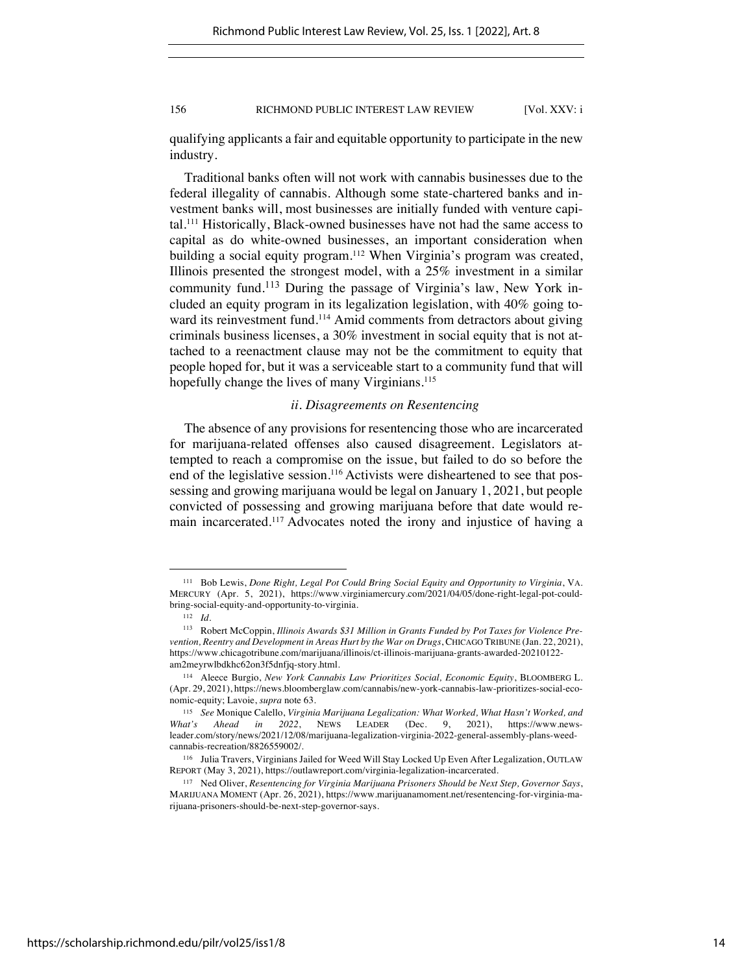qualifying applicants a fair and equitable opportunity to participate in the new industry.

Traditional banks often will not work with cannabis businesses due to the federal illegality of cannabis. Although some state-chartered banks and investment banks will, most businesses are initially funded with venture capital.111 Historically, Black-owned businesses have not had the same access to capital as do white-owned businesses, an important consideration when building a social equity program.112 When Virginia's program was created, Illinois presented the strongest model, with a 25% investment in a similar community fund.<sup>113</sup> During the passage of Virginia's law, New York included an equity program in its legalization legislation, with 40% going toward its reinvestment fund.<sup>114</sup> Amid comments from detractors about giving criminals business licenses, a 30% investment in social equity that is not attached to a reenactment clause may not be the commitment to equity that people hoped for, but it was a serviceable start to a community fund that will hopefully change the lives of many Virginians.<sup>115</sup>

# *ii. Disagreements on Resentencing*

The absence of any provisions for resentencing those who are incarcerated for marijuana-related offenses also caused disagreement. Legislators attempted to reach a compromise on the issue, but failed to do so before the end of the legislative session.<sup>116</sup> Activists were disheartened to see that possessing and growing marijuana would be legal on January 1, 2021, but people convicted of possessing and growing marijuana before that date would remain incarcerated.117 Advocates noted the irony and injustice of having a

<sup>111</sup> Bob Lewis, *Done Right, Legal Pot Could Bring Social Equity and Opportunity to Virginia*, VA. MERCURY (Apr. 5, 2021), https://www.virginiamercury.com/2021/04/05/done-right-legal-pot-couldbring-social-equity-and-opportunity-to-virginia.

<sup>112</sup> *Id.*

<sup>113</sup> Robert McCoppin, *Illinois Awards \$31 Million in Grants Funded by Pot Taxes for Violence Prevention, Reentry and Development in Areas Hurt by the War on Drugs*, CHICAGO TRIBUNE (Jan. 22, 2021), https://www.chicagotribune.com/marijuana/illinois/ct-illinois-marijuana-grants-awarded-20210122 am2meyrwlbdkhc62on3f5dnfjq-story.html.

<sup>114</sup> Aleece Burgio, *New York Cannabis Law Prioritizes Social, Economic Equity*, BLOOMBERG L. (Apr. 29, 2021), https://news.bloomberglaw.com/cannabis/new-york-cannabis-law-prioritizes-social-economic-equity; Lavoie, *supra* note 63.

<sup>115</sup> *See* Monique Calello, *Virginia Marijuana Legalization: What Worked, What Hasn't Worked, and What's Ahead in 2022*, NEWS LEADER (Dec. 9, 2021), https://www.newsleader.com/story/news/2021/12/08/marijuana-legalization-virginia-2022-general-assembly-plans-weedcannabis-recreation/8826559002/.

<sup>116</sup> Julia Travers, Virginians Jailed for Weed Will Stay Locked Up Even After Legalization, OUTLAW REPORT (May 3, 2021), https://outlawreport.com/virginia-legalization-incarcerated.

<sup>117</sup> Ned Oliver, *Resentencing for Virginia Marijuana Prisoners Should be Next Step, Governor Says*, MARIJUANA MOMENT (Apr. 26, 2021), https://www.marijuanamoment.net/resentencing-for-virginia-marijuana-prisoners-should-be-next-step-governor-says.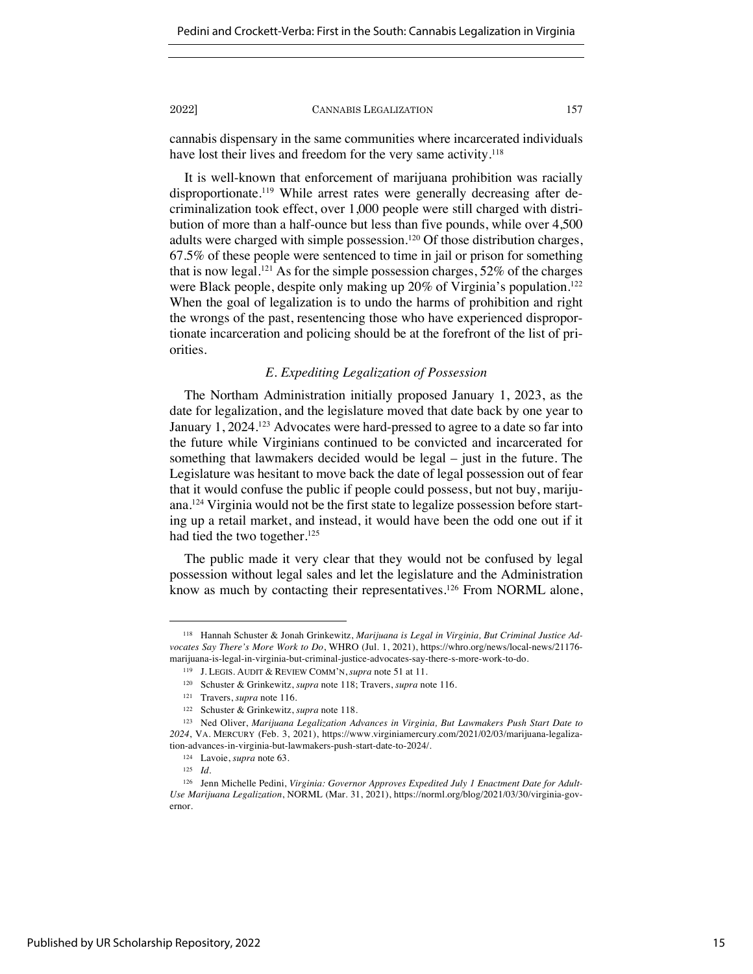cannabis dispensary in the same communities where incarcerated individuals have lost their lives and freedom for the very same activity.<sup>118</sup>

It is well-known that enforcement of marijuana prohibition was racially disproportionate.<sup>119</sup> While arrest rates were generally decreasing after decriminalization took effect, over 1,000 people were still charged with distribution of more than a half-ounce but less than five pounds, while over 4,500 adults were charged with simple possession.<sup>120</sup> Of those distribution charges, 67.5% of these people were sentenced to time in jail or prison for something that is now legal.<sup>121</sup> As for the simple possession charges,  $52\%$  of the charges were Black people, despite only making up 20% of Virginia's population.<sup>122</sup> When the goal of legalization is to undo the harms of prohibition and right the wrongs of the past, resentencing those who have experienced disproportionate incarceration and policing should be at the forefront of the list of priorities.

# *E. Expediting Legalization of Possession*

The Northam Administration initially proposed January 1, 2023, as the date for legalization, and the legislature moved that date back by one year to January 1, 2024.<sup>123</sup> Advocates were hard-pressed to agree to a date so far into the future while Virginians continued to be convicted and incarcerated for something that lawmakers decided would be legal – just in the future. The Legislature was hesitant to move back the date of legal possession out of fear that it would confuse the public if people could possess, but not buy, marijuana.124 Virginia would not be the first state to legalize possession before starting up a retail market, and instead, it would have been the odd one out if it had tied the two together.<sup>125</sup>

The public made it very clear that they would not be confused by legal possession without legal sales and let the legislature and the Administration know as much by contacting their representatives.<sup>126</sup> From NORML alone,

<sup>118</sup> Hannah Schuster & Jonah Grinkewitz, *Marijuana is Legal in Virginia, But Criminal Justice Advocates Say There's More Work to Do*, WHRO (Jul. 1, 2021), https://whro.org/news/local-news/21176 marijuana-is-legal-in-virginia-but-criminal-justice-advocates-say-there-s-more-work-to-do.

<sup>119</sup> J. LEGIS. AUDIT & REVIEW COMM'N, *supra* note 51 at 11.

<sup>120</sup> Schuster & Grinkewitz, *supra* note 118; Travers, *supra* note 116.

<sup>121</sup> Travers, *supra* note 116.

<sup>122</sup> Schuster & Grinkewitz, *supra* note 118.

<sup>123</sup> Ned Oliver, *Marijuana Legalization Advances in Virginia, But Lawmakers Push Start Date to 2024*, VA. MERCURY (Feb. 3, 2021), https://www.virginiamercury.com/2021/02/03/marijuana-legalization-advances-in-virginia-but-lawmakers-push-start-date-to-2024/.

<sup>124</sup> Lavoie, *supra* note 63.

<sup>125</sup> *Id.*

<sup>&</sup>lt;sup>126</sup> Jenn Michelle Pedini, Virginia: Governor Approves Expedited July 1 Enactment Date for Adult-*Use Marijuana Legalization*, NORML (Mar. 31, 2021), https://norml.org/blog/2021/03/30/virginia-governor.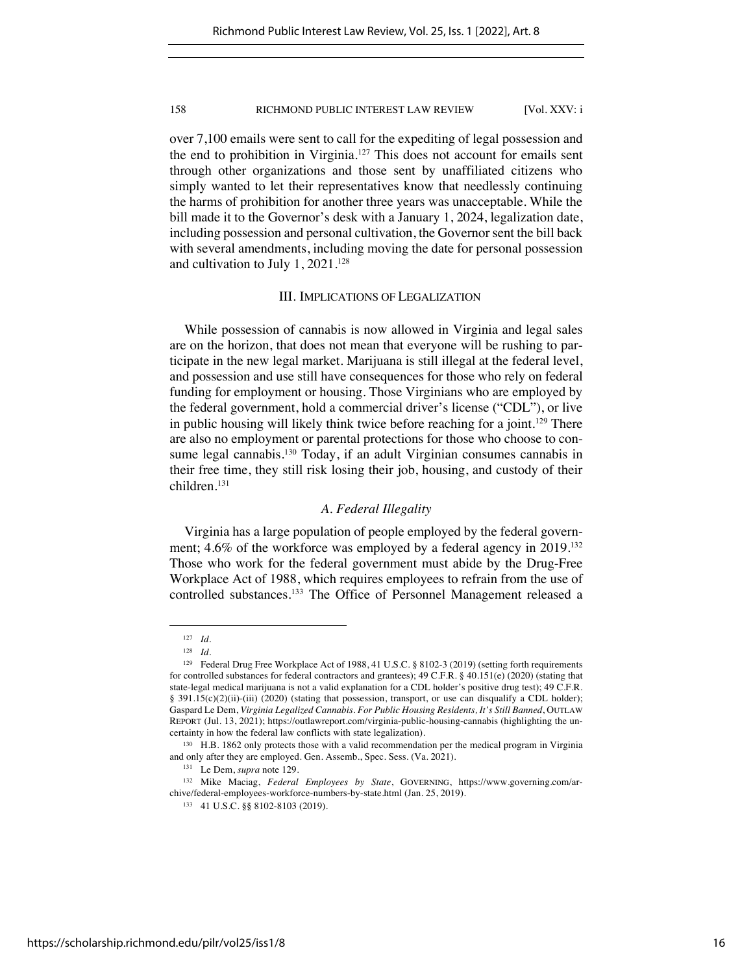over 7,100 emails were sent to call for the expediting of legal possession and the end to prohibition in Virginia.<sup>127</sup> This does not account for emails sent through other organizations and those sent by unaffiliated citizens who simply wanted to let their representatives know that needlessly continuing the harms of prohibition for another three years was unacceptable. While the bill made it to the Governor's desk with a January 1, 2024, legalization date, including possession and personal cultivation, the Governor sent the bill back with several amendments, including moving the date for personal possession and cultivation to July 1, 2021.128

### III. IMPLICATIONS OF LEGALIZATION

While possession of cannabis is now allowed in Virginia and legal sales are on the horizon, that does not mean that everyone will be rushing to participate in the new legal market. Marijuana is still illegal at the federal level, and possession and use still have consequences for those who rely on federal funding for employment or housing. Those Virginians who are employed by the federal government, hold a commercial driver's license ("CDL"), or live in public housing will likely think twice before reaching for a joint.<sup>129</sup> There are also no employment or parental protections for those who choose to consume legal cannabis.<sup>130</sup> Today, if an adult Virginian consumes cannabis in their free time, they still risk losing their job, housing, and custody of their children.131

# *A. Federal Illegality*

Virginia has a large population of people employed by the federal government; 4.6% of the workforce was employed by a federal agency in 2019.<sup>132</sup> Those who work for the federal government must abide by the Drug-Free Workplace Act of 1988, which requires employees to refrain from the use of controlled substances.133 The Office of Personnel Management released a

<sup>127</sup> *Id.*

<sup>128</sup> *Id.*

<sup>129</sup> Federal Drug Free Workplace Act of 1988, 41 U.S.C. § 8102-3 (2019) (setting forth requirements for controlled substances for federal contractors and grantees); 49 C.F.R. § 40.151(e) (2020) (stating that state-legal medical marijuana is not a valid explanation for a CDL holder's positive drug test); 49 C.F.R. § 391.15(c)(2)(ii)-(iii) (2020) (stating that possession, transport, or use can disqualify a CDL holder); Gaspard Le Dem, *Virginia Legalized Cannabis. For Public Housing Residents, It's Still Banned*, OUTLAW REPORT (Jul. 13, 2021); https://outlawreport.com/virginia-public-housing-cannabis (highlighting the uncertainty in how the federal law conflicts with state legalization).

<sup>&</sup>lt;sup>130</sup> H.B. 1862 only protects those with a valid recommendation per the medical program in Virginia and only after they are employed. Gen. Assemb., Spec. Sess. (Va. 2021).

<sup>131</sup> Le Dem, *supra* note 129.

<sup>132</sup> Mike Maciag, *Federal Employees by State*, GOVERNING, https://www.governing.com/archive/federal-employees-workforce-numbers-by-state.html (Jan. 25, 2019).

<sup>133 41</sup> U.S.C. §§ 8102-8103 (2019).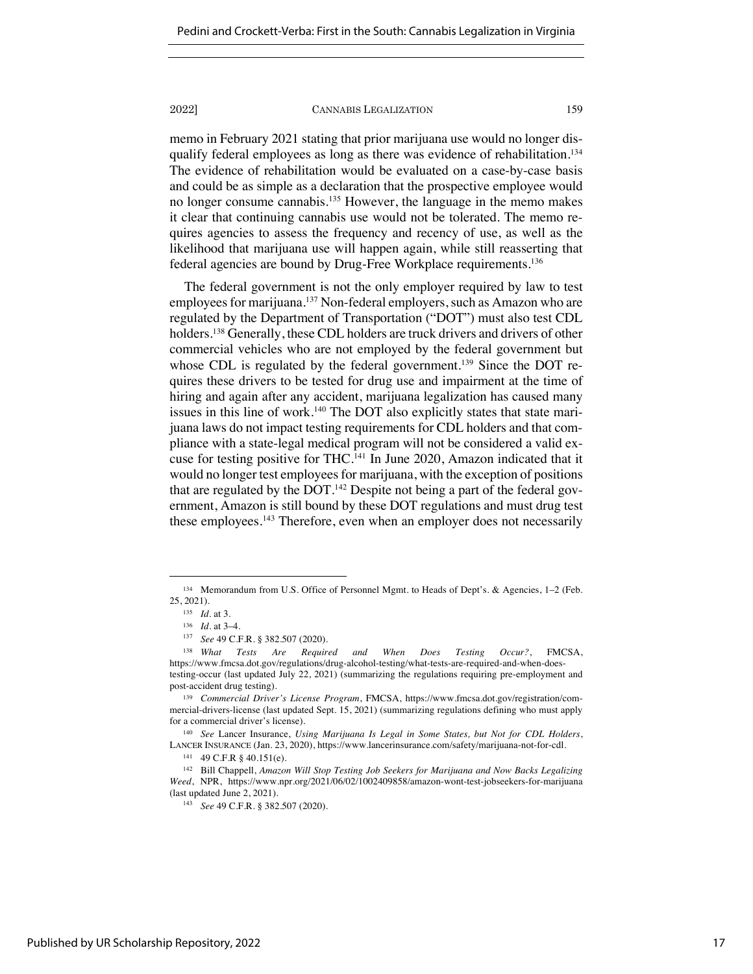memo in February 2021 stating that prior marijuana use would no longer disqualify federal employees as long as there was evidence of rehabilitation.<sup>134</sup> The evidence of rehabilitation would be evaluated on a case-by-case basis and could be as simple as a declaration that the prospective employee would no longer consume cannabis.135 However, the language in the memo makes it clear that continuing cannabis use would not be tolerated. The memo requires agencies to assess the frequency and recency of use, as well as the likelihood that marijuana use will happen again, while still reasserting that federal agencies are bound by Drug-Free Workplace requirements.136

The federal government is not the only employer required by law to test employees for marijuana.<sup>137</sup> Non-federal employers, such as Amazon who are regulated by the Department of Transportation ("DOT") must also test CDL holders.<sup>138</sup> Generally, these CDL holders are truck drivers and drivers of other commercial vehicles who are not employed by the federal government but whose CDL is regulated by the federal government.<sup>139</sup> Since the DOT requires these drivers to be tested for drug use and impairment at the time of hiring and again after any accident, marijuana legalization has caused many issues in this line of work.<sup>140</sup> The DOT also explicitly states that state marijuana laws do not impact testing requirements for CDL holders and that compliance with a state-legal medical program will not be considered a valid excuse for testing positive for THC.141 In June 2020, Amazon indicated that it would no longer test employees for marijuana, with the exception of positions that are regulated by the DOT.<sup>142</sup> Despite not being a part of the federal government, Amazon is still bound by these DOT regulations and must drug test these employees.143 Therefore, even when an employer does not necessarily

<sup>134</sup> Memorandum from U.S. Office of Personnel Mgmt. to Heads of Dept's. & Agencies, 1–2 (Feb. 25, 2021).

<sup>135</sup> *Id.* at 3.

<sup>136</sup> *Id.* at 3–4.

<sup>137</sup> *See* 49 C.F.R. § 382.507 (2020).

<sup>138</sup> *What Tests Are Required and When Does Testing Occur?*, FMCSA, https://www.fmcsa.dot.gov/regulations/drug-alcohol-testing/what-tests-are-required-and-when-doestesting-occur (last updated July 22, 2021) (summarizing the regulations requiring pre-employment and post-accident drug testing).

<sup>139</sup> *Commercial Driver's License Program*, FMCSA, https://www.fmcsa.dot.gov/registration/commercial-drivers-license (last updated Sept. 15, 2021) (summarizing regulations defining who must apply for a commercial driver's license).

<sup>140</sup> *See* Lancer Insurance, *Using Marijuana Is Legal in Some States, but Not for CDL Holders*, LANCER INSURANCE (Jan. 23, 2020), https://www.lancerinsurance.com/safety/marijuana-not-for-cdl.

<sup>141</sup> 49 C.F.R § 40.151(e).

<sup>142</sup> Bill Chappell, *Amazon Will Stop Testing Job Seekers for Marijuana and Now Backs Legalizing Weed*, NPR, https://www.npr.org/2021/06/02/1002409858/amazon-wont-test-jobseekers-for-marijuana (last updated June 2, 2021).

<sup>143</sup> *See* 49 C.F.R. § 382.507 (2020).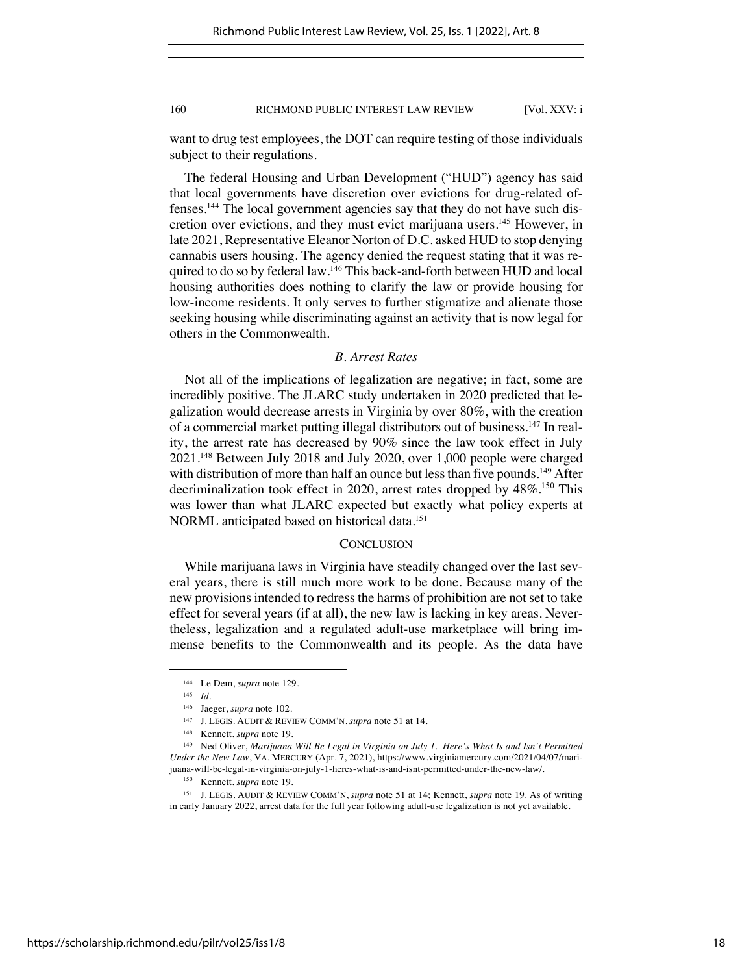want to drug test employees, the DOT can require testing of those individuals subject to their regulations.

The federal Housing and Urban Development ("HUD") agency has said that local governments have discretion over evictions for drug-related offenses.144 The local government agencies say that they do not have such discretion over evictions, and they must evict marijuana users.<sup>145</sup> However, in late 2021, Representative Eleanor Norton of D.C. asked HUD to stop denying cannabis users housing. The agency denied the request stating that it was required to do so by federal law.<sup>146</sup> This back-and-forth between HUD and local housing authorities does nothing to clarify the law or provide housing for low-income residents. It only serves to further stigmatize and alienate those seeking housing while discriminating against an activity that is now legal for others in the Commonwealth.

# *B. Arrest Rates*

Not all of the implications of legalization are negative; in fact, some are incredibly positive. The JLARC study undertaken in 2020 predicted that legalization would decrease arrests in Virginia by over 80%, with the creation of a commercial market putting illegal distributors out of business.147 In reality, the arrest rate has decreased by 90% since the law took effect in July 2021.148 Between July 2018 and July 2020, over 1,000 people were charged with distribution of more than half an ounce but less than five pounds.<sup>149</sup> After decriminalization took effect in 2020, arrest rates dropped by  $48\%$ .<sup>150</sup> This was lower than what JLARC expected but exactly what policy experts at NORML anticipated based on historical data.151

#### **CONCLUSION**

While marijuana laws in Virginia have steadily changed over the last several years, there is still much more work to be done. Because many of the new provisions intended to redress the harms of prohibition are not set to take effect for several years (if at all), the new law is lacking in key areas. Nevertheless, legalization and a regulated adult-use marketplace will bring immense benefits to the Commonwealth and its people. As the data have

<sup>144</sup> Le Dem, *supra* note 129.

<sup>145</sup> *Id.*

<sup>146</sup> Jaeger, *supra* note 102.

<sup>147</sup> J. LEGIS. AUDIT & REVIEW COMM'N, *supra* note 51 at 14.

<sup>148</sup> Kennett, *supra* note 19.

<sup>149</sup> Ned Oliver, *Marijuana Will Be Legal in Virginia on July 1. Here's What Is and Isn't Permitted Under the New Law*, VA. MERCURY (Apr. 7, 2021), https://www.virginiamercury.com/2021/04/07/marijuana-will-be-legal-in-virginia-on-july-1-heres-what-is-and-isnt-permitted-under-the-new-law/.

<sup>150</sup> Kennett, *supra* note 19.

<sup>151</sup> J. LEGIS. AUDIT & REVIEW COMM'N, *supra* note 51 at 14; Kennett, *supra* note 19. As of writing in early January 2022, arrest data for the full year following adult-use legalization is not yet available.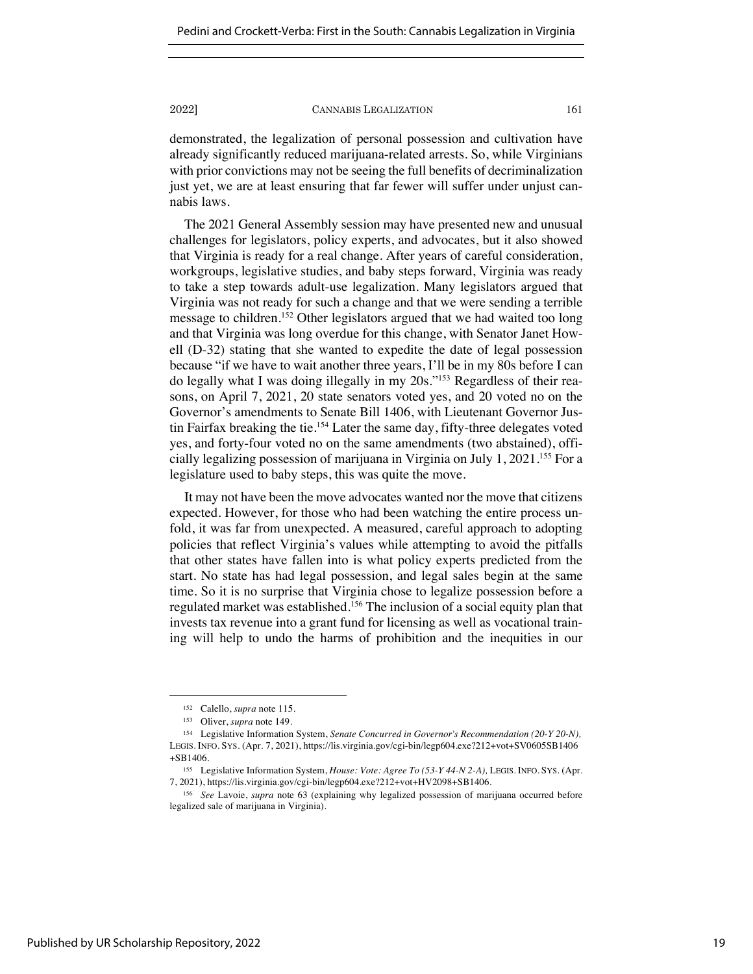demonstrated, the legalization of personal possession and cultivation have already significantly reduced marijuana-related arrests. So, while Virginians with prior convictions may not be seeing the full benefits of decriminalization just yet, we are at least ensuring that far fewer will suffer under unjust cannabis laws.

The 2021 General Assembly session may have presented new and unusual challenges for legislators, policy experts, and advocates, but it also showed that Virginia is ready for a real change. After years of careful consideration, workgroups, legislative studies, and baby steps forward, Virginia was ready to take a step towards adult-use legalization. Many legislators argued that Virginia was not ready for such a change and that we were sending a terrible message to children.<sup>152</sup> Other legislators argued that we had waited too long and that Virginia was long overdue for this change, with Senator Janet Howell (D-32) stating that she wanted to expedite the date of legal possession because "if we have to wait another three years, I'll be in my 80s before I can do legally what I was doing illegally in my 20s."153 Regardless of their reasons, on April 7, 2021, 20 state senators voted yes, and 20 voted no on the Governor's amendments to Senate Bill 1406, with Lieutenant Governor Justin Fairfax breaking the tie.154 Later the same day, fifty-three delegates voted yes, and forty-four voted no on the same amendments (two abstained), officially legalizing possession of marijuana in Virginia on July 1, 2021.155 For a legislature used to baby steps, this was quite the move.

It may not have been the move advocates wanted nor the move that citizens expected. However, for those who had been watching the entire process unfold, it was far from unexpected. A measured, careful approach to adopting policies that reflect Virginia's values while attempting to avoid the pitfalls that other states have fallen into is what policy experts predicted from the start. No state has had legal possession, and legal sales begin at the same time. So it is no surprise that Virginia chose to legalize possession before a regulated market was established.156 The inclusion of a social equity plan that invests tax revenue into a grant fund for licensing as well as vocational training will help to undo the harms of prohibition and the inequities in our

<sup>152</sup> Calello, *supra* note 115.

<sup>153</sup> Oliver, *supra* note 149.

<sup>154</sup> Legislative Information System, *Senate Concurred in Governor's Recommendation (20-Y 20-N),*  LEGIS. INFO. SYS. (Apr. 7, 2021), https://lis.virginia.gov/cgi-bin/legp604.exe?212+vot+SV0605SB1406 +SB1406.

<sup>155</sup> Legislative Information System, *House: Vote: Agree To (53-Y 44-N 2-A),* LEGIS. INFO. SYS. (Apr. 7, 2021), https://lis.virginia.gov/cgi-bin/legp604.exe?212+vot+HV2098+SB1406.

<sup>156</sup> *See* Lavoie, *supra* note 63 (explaining why legalized possession of marijuana occurred before legalized sale of marijuana in Virginia).